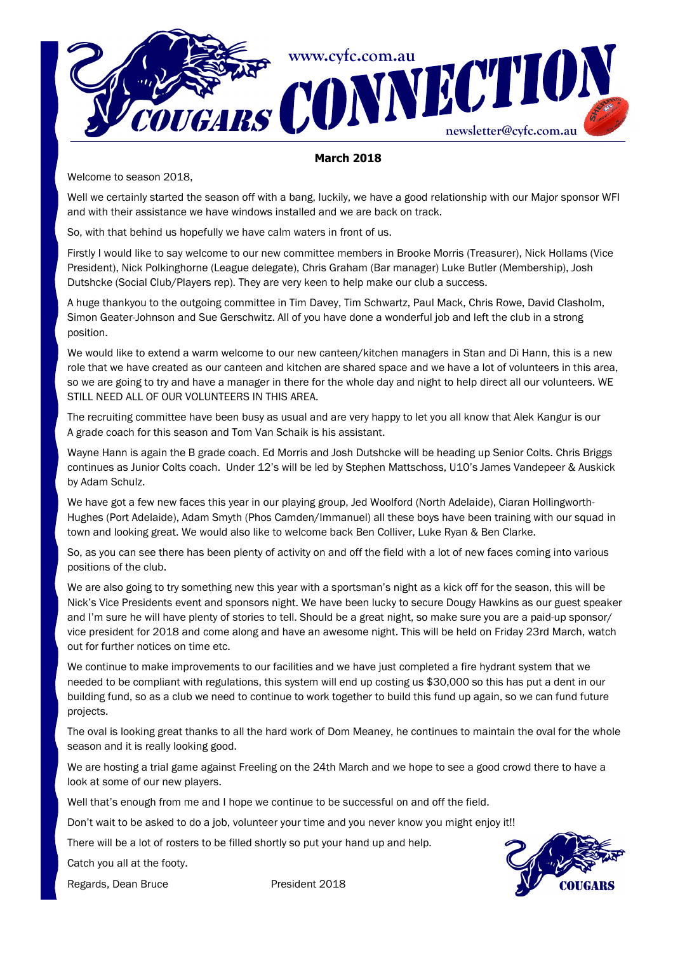

#### March 2018

Welcome to season 2018,

Well we certainly started the season off with a bang, luckily, we have a good relationship with our Major sponsor WFI and with their assistance we have windows installed and we are back on track.

So, with that behind us hopefully we have calm waters in front of us.

Firstly I would like to say welcome to our new committee members in Brooke Morris (Treasurer), Nick Hollams (Vice President), Nick Polkinghorne (League delegate), Chris Graham (Bar manager) Luke Butler (Membership), Josh Dutshcke (Social Club/Players rep). They are very keen to help make our club a success.

A huge thankyou to the outgoing committee in Tim Davey, Tim Schwartz, Paul Mack, Chris Rowe, David Clasholm, Simon Geater-Johnson and Sue Gerschwitz. All of you have done a wonderful job and left the club in a strong position.

We would like to extend a warm welcome to our new canteen/kitchen managers in Stan and Di Hann, this is a new role that we have created as our canteen and kitchen are shared space and we have a lot of volunteers in this area, so we are going to try and have a manager in there for the whole day and night to help direct all our volunteers. WE STILL NEED ALL OF OUR VOLUNTEERS IN THIS AREA.

The recruiting committee have been busy as usual and are very happy to let you all know that Alek Kangur is our A grade coach for this season and Tom Van Schaik is his assistant.

Wayne Hann is again the B grade coach. Ed Morris and Josh Dutshcke will be heading up Senior Colts. Chris Briggs continues as Junior Colts coach. Under 12's will be led by Stephen Mattschoss, U10's James Vandepeer & Auskick by Adam Schulz.

We have got a few new faces this year in our playing group, Jed Woolford (North Adelaide), Ciaran Hollingworth-Hughes (Port Adelaide), Adam Smyth (Phos Camden/Immanuel) all these boys have been training with our squad in town and looking great. We would also like to welcome back Ben Colliver, Luke Ryan & Ben Clarke.

So, as you can see there has been plenty of activity on and off the field with a lot of new faces coming into various positions of the club.

We are also going to try something new this year with a sportsman's night as a kick off for the season, this will be Nick's Vice Presidents event and sponsors night. We have been lucky to secure Dougy Hawkins as our guest speaker and I'm sure he will have plenty of stories to tell. Should be a great night, so make sure you are a paid-up sponsor/ vice president for 2018 and come along and have an awesome night. This will be held on Friday 23rd March, watch out for further notices on time etc.

We continue to make improvements to our facilities and we have just completed a fire hydrant system that we needed to be compliant with regulations, this system will end up costing us \$30,000 so this has put a dent in our building fund, so as a club we need to continue to work together to build this fund up again, so we can fund future projects.

The oval is looking great thanks to all the hard work of Dom Meaney, he continues to maintain the oval for the whole season and it is really looking good.

We are hosting a trial game against Freeling on the 24th March and we hope to see a good crowd there to have a look at some of our new players.

Well that's enough from me and I hope we continue to be successful on and off the field.

Don't wait to be asked to do a job, volunteer your time and you never know you might enjoy it!!

There will be a lot of rosters to be filled shortly so put your hand up and help.

Catch you all at the footy.

Regards, Dean Bruce President 2018